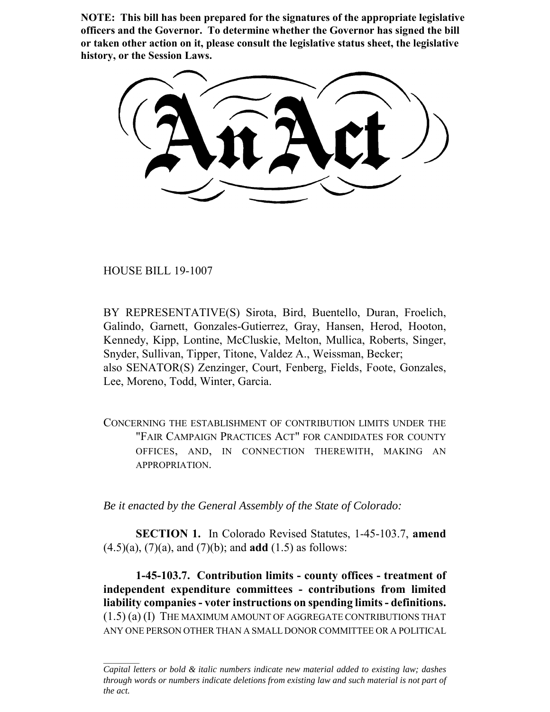**NOTE: This bill has been prepared for the signatures of the appropriate legislative officers and the Governor. To determine whether the Governor has signed the bill or taken other action on it, please consult the legislative status sheet, the legislative history, or the Session Laws.**

HOUSE BILL 19-1007

BY REPRESENTATIVE(S) Sirota, Bird, Buentello, Duran, Froelich, Galindo, Garnett, Gonzales-Gutierrez, Gray, Hansen, Herod, Hooton, Kennedy, Kipp, Lontine, McCluskie, Melton, Mullica, Roberts, Singer, Snyder, Sullivan, Tipper, Titone, Valdez A., Weissman, Becker; also SENATOR(S) Zenzinger, Court, Fenberg, Fields, Foote, Gonzales, Lee, Moreno, Todd, Winter, Garcia.

CONCERNING THE ESTABLISHMENT OF CONTRIBUTION LIMITS UNDER THE "FAIR CAMPAIGN PRACTICES ACT" FOR CANDIDATES FOR COUNTY OFFICES, AND, IN CONNECTION THEREWITH, MAKING AN APPROPRIATION.

*Be it enacted by the General Assembly of the State of Colorado:*

**SECTION 1.** In Colorado Revised Statutes, 1-45-103.7, **amend** (4.5)(a), (7)(a), and (7)(b); and **add** (1.5) as follows:

**1-45-103.7. Contribution limits - county offices - treatment of independent expenditure committees - contributions from limited liability companies - voter instructions on spending limits - definitions.** (1.5) (a) (I) THE MAXIMUM AMOUNT OF AGGREGATE CONTRIBUTIONS THAT ANY ONE PERSON OTHER THAN A SMALL DONOR COMMITTEE OR A POLITICAL

*Capital letters or bold & italic numbers indicate new material added to existing law; dashes through words or numbers indicate deletions from existing law and such material is not part of the act.*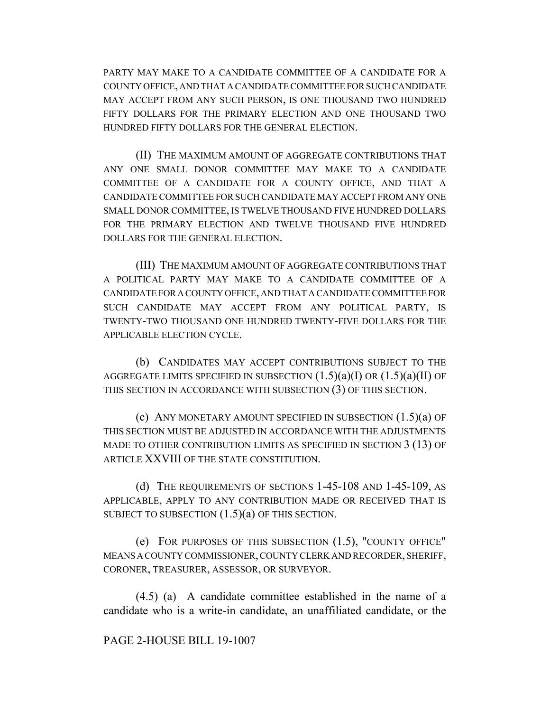PARTY MAY MAKE TO A CANDIDATE COMMITTEE OF A CANDIDATE FOR A COUNTY OFFICE, AND THAT A CANDIDATE COMMITTEE FOR SUCH CANDIDATE MAY ACCEPT FROM ANY SUCH PERSON, IS ONE THOUSAND TWO HUNDRED FIFTY DOLLARS FOR THE PRIMARY ELECTION AND ONE THOUSAND TWO HUNDRED FIFTY DOLLARS FOR THE GENERAL ELECTION.

(II) THE MAXIMUM AMOUNT OF AGGREGATE CONTRIBUTIONS THAT ANY ONE SMALL DONOR COMMITTEE MAY MAKE TO A CANDIDATE COMMITTEE OF A CANDIDATE FOR A COUNTY OFFICE, AND THAT A CANDIDATE COMMITTEE FOR SUCH CANDIDATE MAY ACCEPT FROM ANY ONE SMALL DONOR COMMITTEE, IS TWELVE THOUSAND FIVE HUNDRED DOLLARS FOR THE PRIMARY ELECTION AND TWELVE THOUSAND FIVE HUNDRED DOLLARS FOR THE GENERAL ELECTION.

(III) THE MAXIMUM AMOUNT OF AGGREGATE CONTRIBUTIONS THAT A POLITICAL PARTY MAY MAKE TO A CANDIDATE COMMITTEE OF A CANDIDATE FOR A COUNTY OFFICE, AND THAT A CANDIDATE COMMITTEE FOR SUCH CANDIDATE MAY ACCEPT FROM ANY POLITICAL PARTY, IS TWENTY-TWO THOUSAND ONE HUNDRED TWENTY-FIVE DOLLARS FOR THE APPLICABLE ELECTION CYCLE.

(b) CANDIDATES MAY ACCEPT CONTRIBUTIONS SUBJECT TO THE AGGREGATE LIMITS SPECIFIED IN SUBSECTION  $(1.5)(a)(I)$  OR  $(1.5)(a)(II)$  OF THIS SECTION IN ACCORDANCE WITH SUBSECTION (3) OF THIS SECTION.

(c) ANY MONETARY AMOUNT SPECIFIED IN SUBSECTION (1.5)(a) OF THIS SECTION MUST BE ADJUSTED IN ACCORDANCE WITH THE ADJUSTMENTS MADE TO OTHER CONTRIBUTION LIMITS AS SPECIFIED IN SECTION 3 (13) OF ARTICLE XXVIII OF THE STATE CONSTITUTION.

(d) THE REQUIREMENTS OF SECTIONS 1-45-108 AND 1-45-109, AS APPLICABLE, APPLY TO ANY CONTRIBUTION MADE OR RECEIVED THAT IS SUBJECT TO SUBSECTION  $(1.5)(a)$  OF THIS SECTION.

(e) FOR PURPOSES OF THIS SUBSECTION (1.5), "COUNTY OFFICE" MEANS A COUNTY COMMISSIONER, COUNTY CLERK AND RECORDER, SHERIFF, CORONER, TREASURER, ASSESSOR, OR SURVEYOR.

(4.5) (a) A candidate committee established in the name of a candidate who is a write-in candidate, an unaffiliated candidate, or the

## PAGE 2-HOUSE BILL 19-1007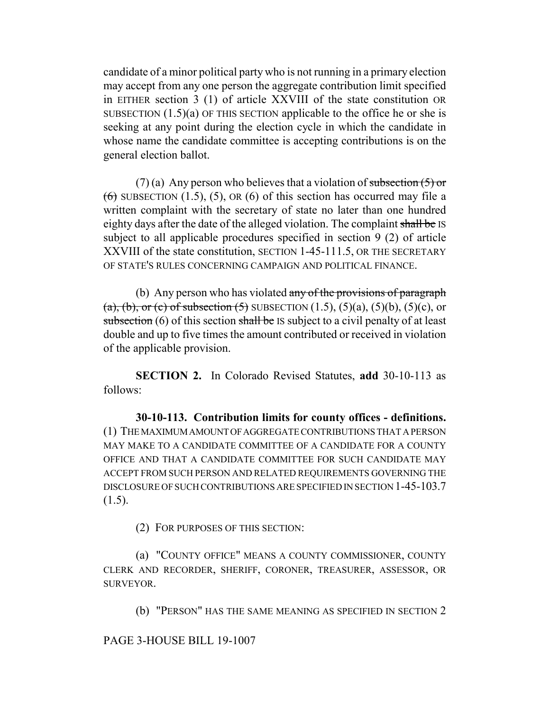candidate of a minor political party who is not running in a primary election may accept from any one person the aggregate contribution limit specified in EITHER section 3 (1) of article XXVIII of the state constitution OR SUBSECTION  $(1.5)(a)$  OF THIS SECTION applicable to the office he or she is seeking at any point during the election cycle in which the candidate in whose name the candidate committee is accepting contributions is on the general election ballot.

(7) (a) Any person who believes that a violation of subsection  $(5)$  or  $(6)$  SUBSECTION (1.5), (5), OR (6) of this section has occurred may file a written complaint with the secretary of state no later than one hundred eighty days after the date of the alleged violation. The complaint shall be IS subject to all applicable procedures specified in section 9 (2) of article XXVIII of the state constitution, SECTION 1-45-111.5, OR THE SECRETARY OF STATE'S RULES CONCERNING CAMPAIGN AND POLITICAL FINANCE.

(b) Any person who has violated any of the provisions of paragraph (a), (b), or (c) of subsection (5) SUBSECTION  $(1.5)$ ,  $(5)(a)$ ,  $(5)(b)$ ,  $(5)(c)$ , or subsection (6) of this section shall be IS subject to a civil penalty of at least double and up to five times the amount contributed or received in violation of the applicable provision.

**SECTION 2.** In Colorado Revised Statutes, **add** 30-10-113 as follows:

**30-10-113. Contribution limits for county offices - definitions.** (1) THE MAXIMUM AMOUNT OF AGGREGATE CONTRIBUTIONS THAT A PERSON MAY MAKE TO A CANDIDATE COMMITTEE OF A CANDIDATE FOR A COUNTY OFFICE AND THAT A CANDIDATE COMMITTEE FOR SUCH CANDIDATE MAY ACCEPT FROM SUCH PERSON AND RELATED REQUIREMENTS GOVERNING THE DISCLOSURE OF SUCH CONTRIBUTIONS ARE SPECIFIED IN SECTION 1-45-103.7  $(1.5)$ .

(2) FOR PURPOSES OF THIS SECTION:

(a) "COUNTY OFFICE" MEANS A COUNTY COMMISSIONER, COUNTY CLERK AND RECORDER, SHERIFF, CORONER, TREASURER, ASSESSOR, OR SURVEYOR.

(b) "PERSON" HAS THE SAME MEANING AS SPECIFIED IN SECTION 2

PAGE 3-HOUSE BILL 19-1007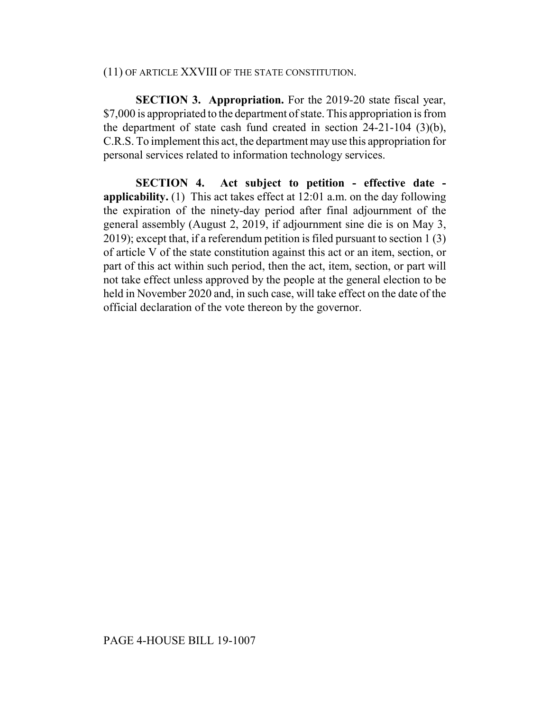## (11) OF ARTICLE XXVIII OF THE STATE CONSTITUTION.

**SECTION 3. Appropriation.** For the 2019-20 state fiscal year, \$7,000 is appropriated to the department of state. This appropriation is from the department of state cash fund created in section 24-21-104 (3)(b), C.R.S. To implement this act, the department may use this appropriation for personal services related to information technology services.

**SECTION 4. Act subject to petition - effective date applicability.** (1) This act takes effect at 12:01 a.m. on the day following the expiration of the ninety-day period after final adjournment of the general assembly (August 2, 2019, if adjournment sine die is on May 3, 2019); except that, if a referendum petition is filed pursuant to section 1 (3) of article V of the state constitution against this act or an item, section, or part of this act within such period, then the act, item, section, or part will not take effect unless approved by the people at the general election to be held in November 2020 and, in such case, will take effect on the date of the official declaration of the vote thereon by the governor.